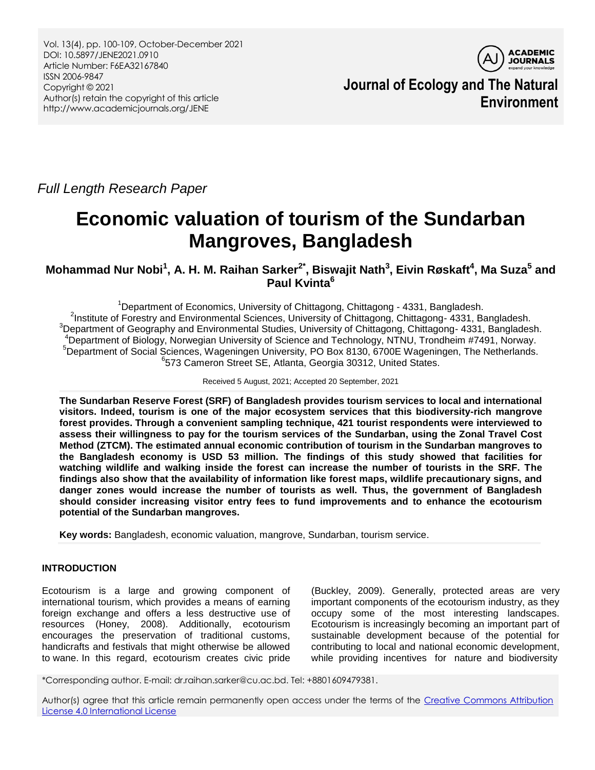Vol. 13(4), pp. 100-109, October-December 2021 DOI: 10.5897/JENE2021.0910 Article Number: F6EA32167840 ISSN 2006-9847 Copyright © 2021 Author(s) retain the copyright of this article http://www.academicjournals.org/JENE



**Journal of Ecology and The Natural Environment**

*Full Length Research Paper*

# **Economic valuation of tourism of the Sundarban Mangroves, Bangladesh**

**Mohammad Nur Nobi<sup>1</sup> , A. H. M. Raihan Sarker2\* , Biswajit Nath<sup>3</sup> , Eivin Røskaft<sup>4</sup> , Ma Suza<sup>5</sup> and Paul Kvinta<sup>6</sup>**

Department of Economics, University of Chittagong, Chittagong - 4331, Bangladesh. <sup>2</sup>Institute of Forestry and Environmental Sciences, University of Chittagong, Chittagong- 4331, Bangladesh. <sup>3</sup>Department of Geography and Environmental Studies, University of Chittagong, Chittagong- 4331, Bangladesh. Department of Biology, Norwegian University of Science and Technology, NTNU, Trondheim #7491, Norway. Department of Social Sciences, Wageningen University, PO Box 8130, 6700E Wageningen, The Netherlands. 573 Cameron Street SE, Atlanta, Georgia 30312, United States.

Received 5 August, 2021; Accepted 20 September, 2021

**The Sundarban Reserve Forest (SRF) of Bangladesh provides tourism services to local and international visitors. Indeed, tourism is one of the major ecosystem services that this biodiversity-rich mangrove forest provides. Through a convenient sampling technique, 421 tourist respondents were interviewed to assess their willingness to pay for the tourism services of the Sundarban, using the Zonal Travel Cost Method (ZTCM). The estimated annual economic contribution of tourism in the Sundarban mangroves to the Bangladesh economy is USD 53 million. The findings of this study showed that facilities for watching wildlife and walking inside the forest can increase the number of tourists in the SRF. The findings also show that the availability of information like forest maps, wildlife precautionary signs, and danger zones would increase the number of tourists as well. Thus, the government of Bangladesh should consider increasing visitor entry fees to fund improvements and to enhance the ecotourism potential of the Sundarban mangroves.**

**Key words:** Bangladesh, economic valuation, mangrove, Sundarban, tourism service.

# **INTRODUCTION**

Ecotourism is a large and growing component of international tourism, which provides a means of earning foreign exchange and offers a less destructive use of resources (Honey, 2008). Additionally, ecotourism encourages the preservation of traditional customs, handicrafts and festivals that might otherwise be allowed to wane. In this regard, ecotourism creates civic pride (Buckley, 2009). Generally, protected areas are very important components of the ecotourism industry, as they occupy some of the most interesting landscapes. Ecotourism is increasingly becoming an important part of sustainable development because of the potential for contributing to local and national economic development, while providing incentives for nature and biodiversity

\*Corresponding author. E-mail: dr.raihan.sarker@cu.ac.bd. Tel: +8801609479381.

Author(s) agree that this article remain permanently open access under the terms of the Creative Commons Attribution [License 4.0 International License](http://creativecommons.org/licenses/by/4.0/deed.en_US)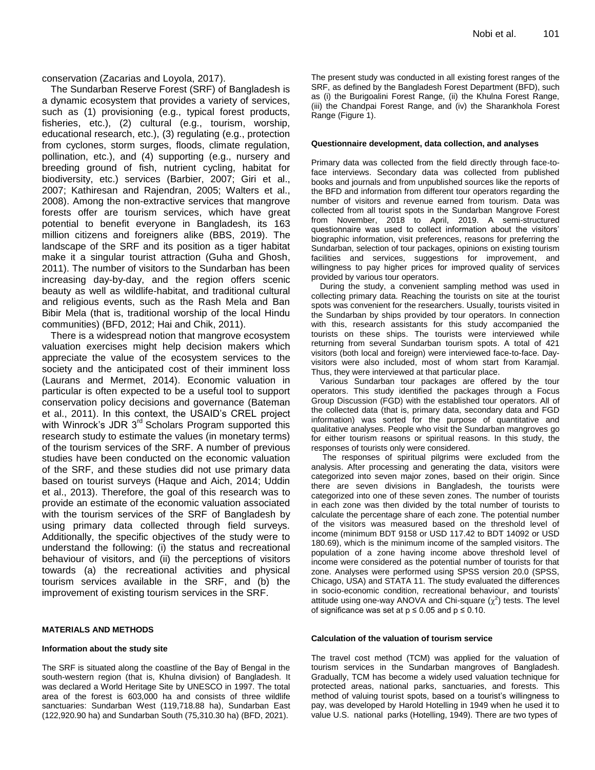conservation (Zacarias and Loyola, 2017).

The Sundarban Reserve Forest (SRF) of Bangladesh is a dynamic ecosystem that provides a variety of services, such as (1) provisioning (e.g., typical forest products, fisheries, etc.), (2) cultural (e.g., tourism, worship, educational research, etc.), (3) regulating (e.g., protection from cyclones, storm surges, floods, climate regulation, pollination, etc.), and (4) supporting (e.g., nursery and breeding ground of fish, nutrient cycling, habitat for biodiversity, etc.) services (Barbier, 2007; Giri et al., 2007; Kathiresan and Rajendran, 2005; Walters et al., 2008). Among the non-extractive services that mangrove forests offer are tourism services, which have great potential to benefit everyone in Bangladesh, its 163 million citizens and foreigners alike (BBS, 2019). The landscape of the SRF and its position as a tiger habitat make it a singular tourist attraction (Guha and Ghosh, 2011). The number of visitors to the Sundarban has been increasing day-by-day, and the region offers scenic beauty as well as wildlife-habitat, and traditional cultural and religious events, such as the Rash Mela and Ban Bibir Mela (that is, traditional worship of the local Hindu communities) (BFD, 2012; Hai and Chik, 2011).

There is a widespread notion that mangrove ecosystem valuation exercises might help decision makers which appreciate the value of the ecosystem services to the society and the anticipated cost of their imminent loss [\(Laurans](https://www.sciencedirect.com/science/article/abs/pii/S2212041613000843?via%3Dihub#!) and [Mermet, 2014\). E](https://www.sciencedirect.com/science/article/abs/pii/S2212041613000843?via%3Dihub#!)conomic valuation in particular is often expected to be a useful tool to support conservation policy decisions and governance (Bateman et al., 2011). In this context, the USAID"s CREL project with Winrock's JDR 3<sup>rd</sup> Scholars Program supported this research study to estimate the values (in monetary terms) of the tourism services of the SRF. A number of previous studies have been conducted on the economic valuation of the SRF, and these studies did not use primary data based on tourist surveys (Haque and Aich, 2014; Uddin et al., 2013). Therefore, the goal of this research was to provide an estimate of the economic valuation associated with the tourism services of the SRF of Bangladesh by using primary data collected through field surveys. Additionally, the specific objectives of the study were to understand the following: (i) the status and recreational behaviour of visitors, and (ii) the perceptions of visitors towards (a) the recreational activities and physical tourism services available in the SRF, and (b) the improvement of existing tourism services in the SRF.

## **MATERIALS AND METHODS**

## **Information about the study site**

The SRF is situated along the coastline of the Bay of Bengal in the south-western region (that is, Khulna division) of Bangladesh. It was declared a World Heritage Site by UNESCO in 1997. The total area of the forest is 603,000 ha and consists of three wildlife sanctuaries: Sundarban West (119,718.88 ha), Sundarban East (122,920.90 ha) and Sundarban South (75,310.30 ha) (BFD, 2021).

The present study was conducted in all existing forest ranges of the SRF, as defined by the Bangladesh Forest Department (BFD), such as (i) the Burigoalini Forest Range, (ii) the Khulna Forest Range, (iii) the Chandpai Forest Range, and (iv) the Sharankhola Forest Range (Figure 1).

## **Questionnaire development, data collection, and analyses**

Primary data was collected from the field directly through face-toface interviews. Secondary data was collected from published books and journals and from unpublished sources like the reports of the BFD and information from different tour operators regarding the number of visitors and revenue earned from tourism. Data was collected from all tourist spots in the Sundarban Mangrove Forest from November, 2018 to April, 2019. A semi-structured questionnaire was used to collect information about the visitors' biographic information, visit preferences, reasons for preferring the Sundarban, selection of tour packages, opinions on existing tourism facilities and services, suggestions for improvement, and willingness to pay higher prices for improved quality of services provided by various tour operators.

During the study, a convenient sampling method was used in collecting primary data. Reaching the tourists on site at the tourist spots was convenient for the researchers. Usually, tourists visited in the Sundarban by ships provided by tour operators. In connection with this, research assistants for this study accompanied the tourists on these ships. The tourists were interviewed while returning from several Sundarban tourism spots. A total of 421 visitors (both local and foreign) were interviewed face-to-face. Dayvisitors were also included, most of whom start from Karamjal. Thus, they were interviewed at that particular place.

Various Sundarban tour packages are offered by the tour operators. This study identified the packages through a Focus Group Discussion (FGD) with the established tour operators. All of the collected data (that is, primary data, secondary data and FGD information) was sorted for the purpose of quantitative and qualitative analyses. People who visit the Sundarban mangroves go for either tourism reasons or spiritual reasons. In this study, the responses of tourists only were considered.

The responses of spiritual pilgrims were excluded from the analysis. After processing and generating the data, visitors were categorized into seven major zones, based on their origin. Since there are seven divisions in Bangladesh, the tourists were categorized into one of these seven zones. The number of tourists in each zone was then divided by the total number of tourists to calculate the percentage share of each zone. The potential number of the visitors was measured based on the threshold level of income (minimum BDT 9158 or USD 117.42 to BDT 14092 or USD 180.69), which is the minimum income of the sampled visitors. The population of a zone having income above threshold level of income were considered as the potential number of tourists for that zone. Analyses were performed using SPSS version 20.0 (SPSS, Chicago, USA) and STATA 11. The study evaluated the differences in socio-economic condition, recreational behaviour, and tourists" attitude using one-way ANOVA and Chi-square  $(\chi^2)$  tests. The level of significance was set at  $p \le 0.05$  and  $p \le 0.10$ .

## **Calculation of the valuation of tourism service**

The travel cost method (TCM) was applied for the valuation of tourism services in the Sundarban mangroves of Bangladesh. Gradually, TCM has become a widely used valuation technique for protected areas, national parks, sanctuaries, and forests. This method of valuing tourist spots, based on a tourist's willingness to pay, was developed by Harold Hotelling in 1949 when he used it to value U.S. national parks (Hotelling, 1949). There are two types of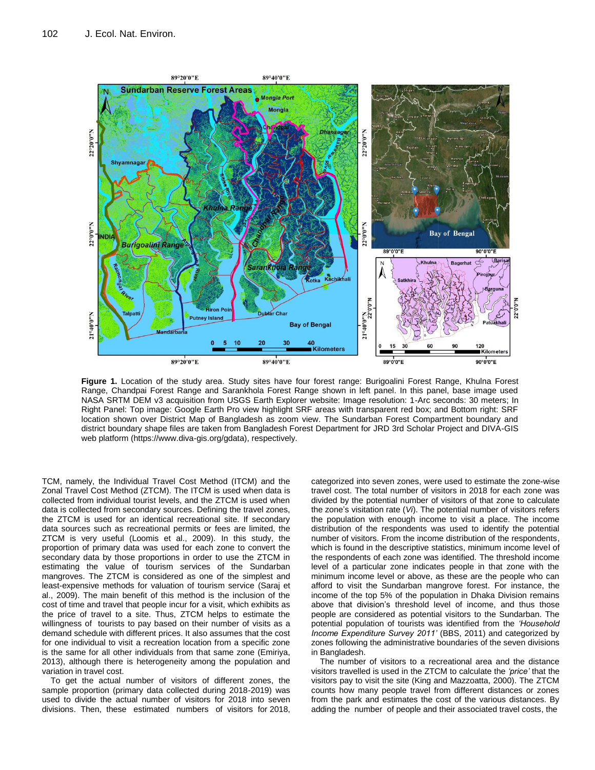

**Figure 1.** Location of the study area. Study sites have four forest range: Burigoalini Forest Range, Khulna Forest Range, Chandpai Forest Range and Sarankhola Forest Range shown in left panel. In this panel, base image used NASA SRTM DEM v3 acquisition from USGS Earth Explorer website: Image resolution: 1-Arc seconds: 30 meters; In Right Panel: Top image: Google Earth Pro view highlight SRF areas with transparent red box; and Bottom right: SRF location shown over District Map of Bangladesh as zoom view. The Sundarban Forest Compartment boundary and district boundary shape files are taken from Bangladesh Forest Department for JRD 3rd Scholar Project and DIVA-GIS web platform (https://www.diva-gis.org/gdata), respectively.

TCM, namely, the Individual Travel Cost Method (ITCM) and the Zonal Travel Cost Method (ZTCM). The ITCM is used when data is collected from individual tourist levels, and the ZTCM is used when data is collected from secondary sources. Defining the travel zones, the ZTCM is used for an identical recreational site. If secondary data sources such as recreational permits or fees are limited, the ZTCM is very useful (Loomis et al., 2009). In this study, the proportion of primary data was used for each zone to convert the secondary data by those proportions in order to use the ZTCM in estimating the value of tourism services of the Sundarban mangroves. The ZTCM is considered as one of the simplest and least-expensive methods for valuation of tourism service (Saraj et al., 2009). The main benefit of this method is the inclusion of the cost of time and travel that people incur for a visit, which exhibits as the price of travel to a site. Thus, ZTCM helps to estimate the willingness of tourists to pay based on their number of visits as a demand schedule with different prices. It also assumes that the cost for one individual to visit a recreation location from a specific zone is the same for all other individuals from that same zone (Emiriya, 2013), although there is heterogeneity among the population and variation in travel cost.

To get the actual number of visitors of different zones, the sample proportion (primary data collected during 2018-2019) was used to divide the actual number of visitors for 2018 into seven divisions. Then, these estimated numbers of visitors for 2018,

categorized into seven zones, were used to estimate the zone-wise travel cost. The total number of visitors in 2018 for each zone was divided by the potential number of visitors of that zone to calculate the zone"s visitation rate (*Vi*). The potential number of visitors refers the population with enough income to visit a place. The income distribution of the respondents was used to identify the potential number of visitors. From the income distribution of the respondents, which is found in the descriptive statistics, minimum income level of the respondents of each zone was identified. The threshold income level of a particular zone indicates people in that zone with the minimum income level or above, as these are the people who can afford to visit the Sundarban mangrove forest. For instance, the income of the top 5% of the population in Dhaka Division remains above that division's threshold level of income, and thus those people are considered as potential visitors to the Sundarban. The potential population of tourists was identified from the *'Household Income Expenditure Survey 2011'* (BBS, 2011) and categorized by zones following the administrative boundaries of the seven divisions in Bangladesh.

The number of visitors to a recreational area and the distance visitors travelled is used in the ZTCM to calculate the *'price'* that the visitors pay to visit the site (King and Mazzoatta, 2000). The ZTCM counts how many people travel from different distances or zones from the park and estimates the cost of the various distances. By adding the number of people and their associated travel costs, the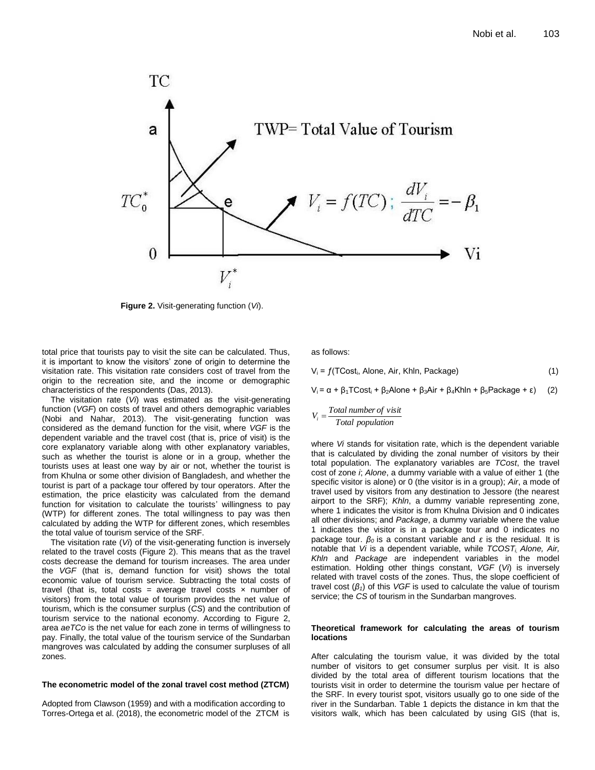

**Figure 2.** Visit-generating function (*Vi*).

total price that tourists pay to visit the site can be calculated. Thus, it is important to know the visitors" zone of origin to determine the visitation rate. This visitation rate considers cost of travel from the origin to the recreation site, and the income or demographic characteristics of the respondents (Das, 2013).

The visitation rate (*Vi*) was estimated as the visit-generating function (*VGF*) on costs of travel and others demographic variables (Nobi and Nahar, 2013). The visit-generating function was considered as the demand function for the visit, where *VGF* is the dependent variable and the travel cost (that is, price of visit) is the core explanatory variable along with other explanatory variables, such as whether the tourist is alone or in a group, whether the tourists uses at least one way by air or not, whether the tourist is from Khulna or some other division of Bangladesh, and whether the tourist is part of a package tour offered by tour operators. After the estimation, the price elasticity was calculated from the demand function for visitation to calculate the tourists' willingness to pay (WTP) for different zones. The total willingness to pay was then calculated by adding the WTP for different zones, which resembles the total value of tourism service of the SRF.

The visitation rate (*Vi*) of the visit-generating function is inversely related to the travel costs (Figure 2). This means that as the travel costs decrease the demand for tourism increases. The area under the *VGF* (that is, demand function for visit) shows the total economic value of tourism service. Subtracting the total costs of travel (that is, total costs = average travel costs  $\times$  number of visitors) from the total value of tourism provides the net value of tourism, which is the consumer surplus (*CS*) and the contribution of tourism service to the national economy. According to Figure 2, area *aeTCo* is the net value for each zone in terms of willingness to pay. Finally, the total value of the tourism service of the Sundarban mangroves was calculated by adding the consumer surpluses of all zones.

#### **The econometric model of the zonal travel cost method (ZTCM)**

Adopted from Clawson (1959) and with a modification according to Torres-Ortega et al. (2018), the econometric model of the ZTCM is as follows:

 $V_i = f(TCost_i, \text{Alone}, \text{Air}, \text{Khin}, \text{Package})$  (1)

 $V_i = \alpha + \beta_1 TCost_i + \beta_2$ Alone + β<sub>3</sub>Air + β<sub>4</sub>Khln + β<sub>5</sub>Package + ε) (2)

$$
V_i = \frac{Total\ number\ of\ visit}{Total\ population}
$$

where *Vi* stands for visitation rate, which is the dependent variable that is calculated by dividing the zonal number of visitors by their total population. The explanatory variables are *TCost*, the travel cost of zone *i*; *Alone*, a dummy variable with a value of either 1 (the specific visitor is alone) or 0 (the visitor is in a group); *Air*, a mode of travel used by visitors from any destination to Jessore (the nearest airport to the SRF); *Khln*, a dummy variable representing zone, where 1 indicates the visitor is from Khulna Division and 0 indicates all other divisions; and *Package*, a dummy variable where the value 1 indicates the visitor is in a package tour and 0 indicates no package tour. *β<sup>0</sup>* is a constant variable and *ε* is the residual*.* It is notable that *Vi* is a dependent variable, while *TCOSTi, Alone, Air, Khln* and *Package* are independent variables in the model estimation. Holding other things constant, *VGF* (*Vi*) is inversely related with travel costs of the zones. Thus, the slope coefficient of travel cost (*β1*) of this *VGF* is used to calculate the value of tourism service; the *CS* of tourism in the Sundarban mangroves.

#### **Theoretical framework for calculating the areas of tourism locations**

After calculating the tourism value, it was divided by the total number of visitors to get consumer surplus per visit. It is also divided by the total area of different tourism locations that the tourists visit in order to determine the tourism value per hectare of the SRF. In every tourist spot, visitors usually go to one side of the river in the Sundarban. Table 1 depicts the distance in km that the visitors walk, which has been calculated by using GIS (that is,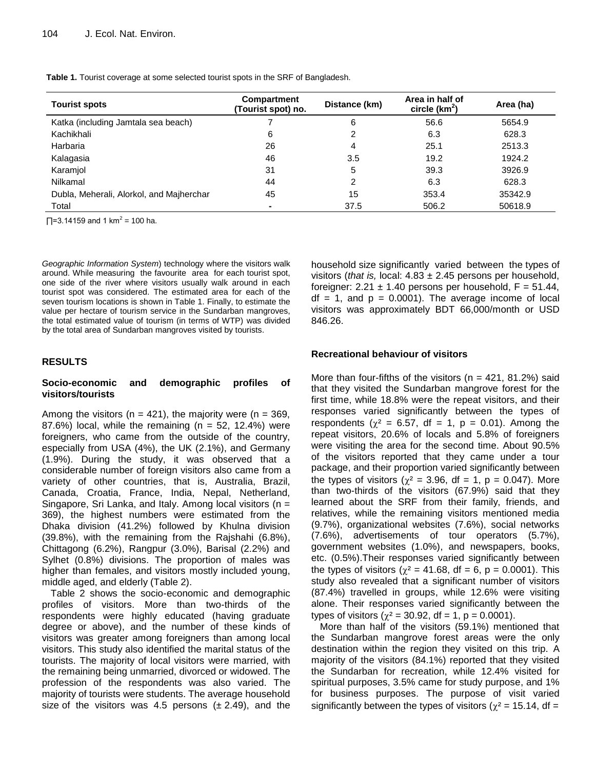**Table 1.** Tourist coverage at some selected tourist spots in the SRF of Bangladesh.

| <b>Tourist spots</b>                     | Compartment<br>(Tourist spot) no. | Distance (km) | Area in half of<br>circle $(km^2)$ | Area (ha) |
|------------------------------------------|-----------------------------------|---------------|------------------------------------|-----------|
| Katka (including Jamtala sea beach)      |                                   | 6             | 56.6                               | 5654.9    |
| Kachikhali                               | 6                                 | っ             | 6.3                                | 628.3     |
| Harbaria                                 | 26                                | 4             | 25.1                               | 2513.3    |
| Kalagasia                                | 46                                | 3.5           | 19.2                               | 1924.2    |
| Karamjol                                 | 31                                | 5             | 39.3                               | 3926.9    |
| Nilkamal                                 | 44                                | າ             | 6.3                                | 628.3     |
| Dubla, Meherali, Alorkol, and Majherchar | 45                                | 15            | 353.4                              | 35342.9   |
| Total                                    |                                   | 37.5          | 506.2                              | 50618.9   |

 $\Box$ =3.14159 and 1 km<sup>2</sup> = 100 ha.

*Geographic Information System*) technology where the visitors walk around. While measuring the favourite area for each tourist spot, one side of the river where visitors usually walk around in each tourist spot was considered. The estimated area for each of the seven tourism locations is shown in Table 1. Finally, to estimate the value per hectare of tourism service in the Sundarban mangroves, the total estimated value of tourism (in terms of WTP) was divided by the total area of Sundarban mangroves visited by tourists.

# **RESULTS**

## **Socio-economic and demographic profiles of visitors/tourists**

Among the visitors ( $n = 421$ ), the majority were ( $n = 369$ ,  $87.6\%$ ) local, while the remaining (n = 52, 12.4%) were foreigners, who came from the outside of the country, especially from USA (4%), the UK (2.1%), and Germany (1.9%). During the study, it was observed that a considerable number of foreign visitors also came from a variety of other countries, that is, Australia, Brazil, Canada, Croatia, France, India, Nepal, Netherland, Singapore, Sri Lanka, and Italy. Among local visitors (n = 369), the highest numbers were estimated from the Dhaka division (41.2%) followed by Khulna division (39.8%), with the remaining from the Rajshahi (6.8%), Chittagong (6.2%), Rangpur (3.0%), Barisal (2.2%) and Sylhet (0.8%) divisions. The proportion of males was higher than females, and visitors mostly included young, middle aged, and elderly (Table 2).

Table 2 shows the socio-economic and demographic profiles of visitors. More than two-thirds of the respondents were highly educated (having graduate degree or above), and the number of these kinds of visitors was greater among foreigners than among local visitors. This study also identified the marital status of the tourists. The majority of local visitors were married, with the remaining being unmarried, divorced or widowed. The profession of the respondents was also varied. The majority of tourists were students. The average household size of the visitors was 4.5 persons  $(\pm 2.49)$ , and the

household size significantly varied between the types of visitors (*that is,* local: 4.83 ± 2.45 persons per household, foreigner:  $2.21 \pm 1.40$  persons per household,  $F = 51.44$ ,  $df = 1$ , and  $p = 0.0001$ . The average income of local visitors was approximately BDT 66,000/month or USD 846.26.

# **Recreational behaviour of visitors**

More than four-fifths of the visitors ( $n = 421$ , 81.2%) said that they visited the Sundarban mangrove forest for the first time, while 18.8% were the repeat visitors, and their responses varied significantly between the types of respondents ( $\gamma^2 = 6.57$ , df = 1, p = 0.01). Among the repeat visitors, 20.6% of locals and 5.8% of foreigners were visiting the area for the second time. About 90.5% of the visitors reported that they came under a tour package, and their proportion varied significantly between the types of visitors ( $\chi^2 = 3.96$ , df = 1, p = 0.047). More than two-thirds of the visitors (67.9%) said that they learned about the SRF from their family, friends, and relatives, while the remaining visitors mentioned media (9.7%), organizational websites (7.6%), social networks (7.6%), advertisements of tour operators (5.7%), government websites (1.0%), and newspapers, books, etc. (0.5%).Their responses varied significantly between the types of visitors ( $\chi^2 = 41.68$ , df = 6, p = 0.0001). This study also revealed that a significant number of visitors (87.4%) travelled in groups, while 12.6% were visiting alone. Their responses varied significantly between the types of visitors ( $\chi^2$  = 30.92, df = 1, p = 0.0001).

More than half of the visitors (59.1%) mentioned that the Sundarban mangrove forest areas were the only destination within the region they visited on this trip. A majority of the visitors (84.1%) reported that they visited the Sundarban for recreation, while 12.4% visited for spiritual purposes, 3.5% came for study purpose, and 1% for business purposes. The purpose of visit varied significantly between the types of visitors ( $\chi^2$  = 15.14, df =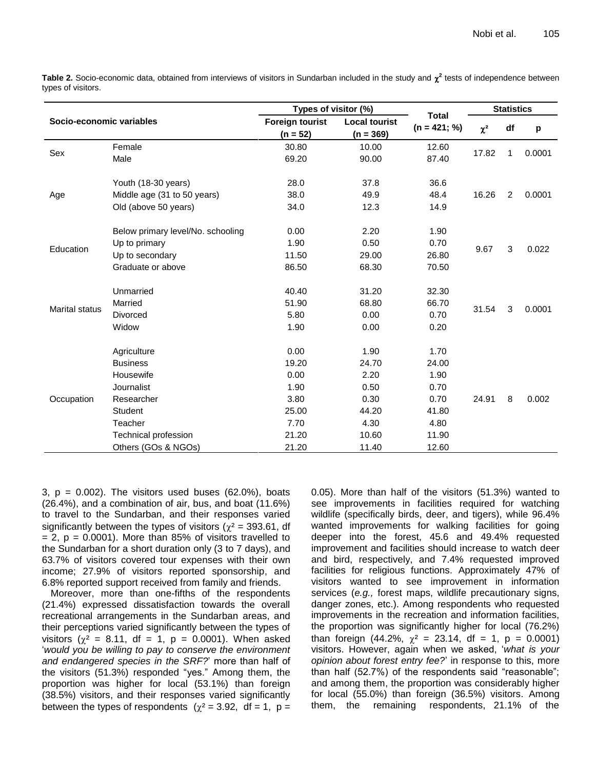Table 2. Socio-economic data, obtained from interviews of visitors in Sundarban included in the study and  $\chi^2$  tests of independence between types of visitors.

| Socio-economic variables |                                                                                                                                              | Types of visitor (%)                                                     |                                                                          |                                                                          | <b>Statistics</b> |                |        |
|--------------------------|----------------------------------------------------------------------------------------------------------------------------------------------|--------------------------------------------------------------------------|--------------------------------------------------------------------------|--------------------------------------------------------------------------|-------------------|----------------|--------|
|                          |                                                                                                                                              | <b>Foreign tourist</b><br>$(n = 52)$                                     | <b>Local tourist</b><br>$(n = 369)$                                      | <b>Total</b><br>$(n = 421; %$                                            | $\chi^2$          | df             | р      |
| Sex                      | Female<br>Male                                                                                                                               | 30.80<br>69.20                                                           | 10.00<br>90.00                                                           | 12.60<br>87.40                                                           | 17.82             | 1              | 0.0001 |
| Age                      | Youth (18-30 years)<br>Middle age (31 to 50 years)<br>Old (above 50 years)                                                                   | 28.0<br>38.0<br>34.0                                                     | 37.8<br>49.9<br>12.3                                                     | 36.6<br>48.4<br>14.9                                                     | 16.26             | $\overline{c}$ | 0.0001 |
| Education                | Below primary level/No. schooling<br>Up to primary<br>Up to secondary<br>Graduate or above                                                   | 0.00<br>1.90<br>11.50<br>86.50                                           | 2.20<br>0.50<br>29.00<br>68.30                                           | 1.90<br>0.70<br>26.80<br>70.50                                           | 9.67              | 3              | 0.022  |
| <b>Marital status</b>    | Unmarried<br>Married<br><b>Divorced</b><br>Widow                                                                                             | 40.40<br>51.90<br>5.80<br>1.90                                           | 31.20<br>68.80<br>0.00<br>0.00                                           | 32.30<br>66.70<br>0.70<br>0.20                                           | 31.54             | 3              | 0.0001 |
| Occupation               | Agriculture<br><b>Business</b><br>Housewife<br>Journalist<br>Researcher<br>Student<br>Teacher<br>Technical profession<br>Others (GOs & NGOs) | 0.00<br>19.20<br>0.00<br>1.90<br>3.80<br>25.00<br>7.70<br>21.20<br>21.20 | 1.90<br>24.70<br>2.20<br>0.50<br>0.30<br>44.20<br>4.30<br>10.60<br>11.40 | 1.70<br>24.00<br>1.90<br>0.70<br>0.70<br>41.80<br>4.80<br>11.90<br>12.60 | 24.91             | 8              | 0.002  |

 $3, p = 0.002$ ). The visitors used buses (62.0%), boats (26.4%), and a combination of air, bus, and boat (11.6%) to travel to the Sundarban, and their responses varied significantly between the types of visitors ( $\chi^2$  = 393.61, df  $= 2$ ,  $p = 0.0001$ ). More than 85% of visitors travelled to the Sundarban for a short duration only (3 to 7 days), and 63.7% of visitors covered tour expenses with their own income; 27.9% of visitors reported sponsorship, and 6.8% reported support received from family and friends.

Moreover, more than one-fifths of the respondents (21.4%) expressed dissatisfaction towards the overall recreational arrangements in the Sundarban areas, and their perceptions varied significantly between the types of visitors ( $\chi^2$  = 8.11, df = 1, p = 0.0001). When asked "*would you be willing to pay to conserve the environment and endangered species in the SRF?*" more than half of the visitors (51.3%) responded "yes." Among them, the proportion was higher for local (53.1%) than foreign (38.5%) visitors, and their responses varied significantly between the types of respondents  $(\chi^2 = 3.92, \text{ df} = 1, \text{ p} =$ 

0.05). More than half of the visitors (51.3%) wanted to see improvements in facilities required for watching wildlife (specifically birds, deer, and tigers), while 96.4% wanted improvements for walking facilities for going deeper into the forest, 45.6 and 49.4% requested improvement and facilities should increase to watch deer and bird, respectively, and 7.4% requested improved facilities for religious functions. Approximately 47% of visitors wanted to see improvement in information services (*e.g.,* forest maps, wildlife precautionary signs, danger zones, etc.). Among respondents who requested improvements in the recreation and information facilities, the proportion was significantly higher for local (76.2%) than foreign (44.2%,  $\chi^2 = 23.14$ , df = 1, p = 0.0001) visitors. However, again when we asked, "*what is your opinion about forest entry fee?*" in response to this, more than half (52.7%) of the respondents said "reasonable"; and among them, the proportion was considerably higher for local (55.0%) than foreign (36.5%) visitors. Among them, the remaining respondents, 21.1% of the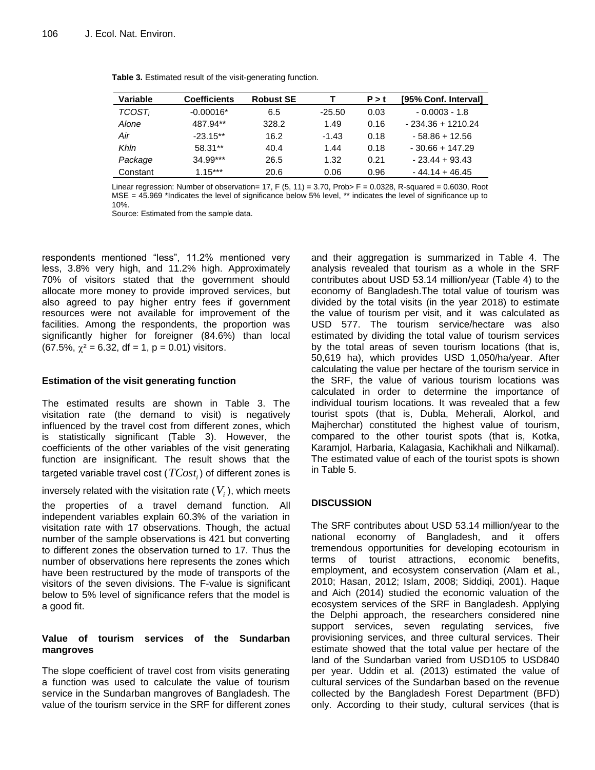| Variable           | <b>Coefficients</b> | <b>Robust SE</b> |          | P > t | [95% Conf. Interval] |
|--------------------|---------------------|------------------|----------|-------|----------------------|
| TCOST <sub>i</sub> | $-0.00016*$         | 6.5              | $-25.50$ | 0.03  | $-0.0003 - 1.8$      |
| Alone              | 487.94**            | 328.2            | 1.49     | 0.16  | $-234.36 + 1210.24$  |
| Air                | $-23.15**$          | 16.2             | $-1.43$  | 0.18  | $-58.86 + 12.56$     |
| Khln               | 58.31**             | 40.4             | 1.44     | 0.18  | $-30.66 + 147.29$    |
| Package            | $34.99***$          | 26.5             | 1.32     | 0.21  | $-23.44 + 93.43$     |
| Constant           | $1.15***$           | 20.6             | 0.06     | 0.96  | $-44.14 + 46.45$     |

**Table 3.** Estimated result of the visit-generating function.

Linear regression: Number of observation=  $17$ , F (5, 11) = 3.70, Prob> F = 0.0328, R-squared = 0.6030, Root MSE = 45.969 \*Indicates the level of significance below 5% level, \*\* indicates the level of significance up to 10%.

Source: Estimated from the sample data.

respondents mentioned "less", 11.2% mentioned very less, 3.8% very high, and 11.2% high. Approximately 70% of visitors stated that the government should allocate more money to provide improved services, but also agreed to pay higher entry fees if government resources were not available for improvement of the facilities. Among the respondents, the proportion was significantly higher for foreigner (84.6%) than local (67.5%,  $\chi^2$  = 6.32, df = 1, p = 0.01) visitors.

# **Estimation of the visit generating function**

The estimated results are shown in Table 3. The visitation rate (the demand to visit) is negatively influenced by the travel cost from different zones, which is statistically significant (Table 3). However, the coefficients of the other variables of the visit generating function are insignificant. The result shows that the targeted variable travel cost ( *TCost<sup>i</sup>* ) of different zones is

inversely related with the visitation rate ( $V^{}_{i}$ ), which meets the properties of a travel demand function. All independent variables explain 60.3% of the variation in visitation rate with 17 observations. Though, the actual number of the sample observations is 421 but converting to different zones the observation turned to 17. Thus the number of observations here represents the zones which have been restructured by the mode of transports of the visitors of the seven divisions. The F-value is significant below to 5% level of significance refers that the model is a good fit.

# **Value of tourism services of the Sundarban mangroves**

The slope coefficient of travel cost from visits generating a function was used to calculate the value of tourism service in the Sundarban mangroves of Bangladesh. The value of the tourism service in the SRF for different zones

and their aggregation is summarized in Table 4. The analysis revealed that tourism as a whole in the SRF contributes about USD 53.14 million/year (Table 4) to the economy of Bangladesh.The total value of tourism was divided by the total visits (in the year 2018) to estimate the value of tourism per visit, and it was calculated as USD 577. The tourism service/hectare was also estimated by dividing the total value of tourism services by the total areas of seven tourism locations (that is, 50,619 ha), which provides USD 1,050/ha/year. After calculating the value per hectare of the tourism service in the SRF, the value of various tourism locations was calculated in order to determine the importance of individual tourism locations. It was revealed that a few tourist spots (that is, Dubla, Meherali, Alorkol, and Majherchar) constituted the highest value of tourism, compared to the other tourist spots (that is, Kotka, Karamjol, Harbaria, Kalagasia, Kachikhali and Nilkamal). The estimated value of each of the tourist spots is shown in Table 5.

# **DISCUSSION**

The SRF contributes about USD 53.14 million/year to the national economy of Bangladesh, and it offers tremendous opportunities for developing ecotourism in terms of tourist attractions, economic benefits, employment, and ecosystem conservation (Alam et al*.*, 2010; Hasan, 2012; Islam, 2008; Siddiqi, 2001). Haque and Aich (2014) studied the economic valuation of the ecosystem services of the SRF in Bangladesh. Applying the Delphi approach, the researchers considered nine support services, seven regulating services, five provisioning services, and three cultural services. Their estimate showed that the total value per hectare of the land of the Sundarban varied from USD105 to USD840 per year. Uddin et al. (2013) estimated the value of cultural services of the Sundarban based on the revenue collected by the Bangladesh Forest Department (BFD) only. According to their study, cultural services (that is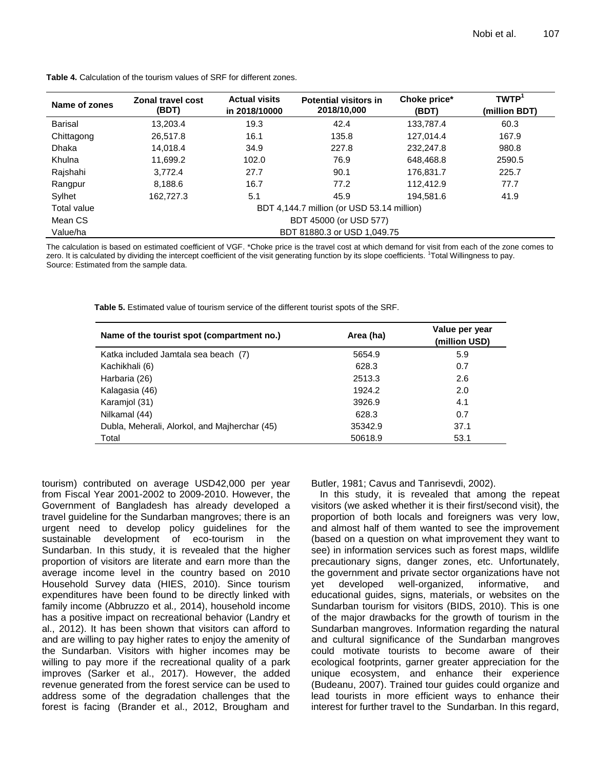| Name of zones      | <b>Zonal travel cost</b><br>(BDT)          | <b>Actual visits</b><br>in 2018/10000 | <b>Potential visitors in</b><br>2018/10,000 | Choke price*<br>(BDT) | <b>TWTP</b><br>(million BDT) |  |
|--------------------|--------------------------------------------|---------------------------------------|---------------------------------------------|-----------------------|------------------------------|--|
| <b>Barisal</b>     | 13,203.4                                   | 19.3                                  | 42.4                                        | 133,787.4             | 60.3                         |  |
| Chittagong         | 26.517.8                                   | 16.1                                  | 135.8                                       | 127,014.4             | 167.9                        |  |
| Dhaka              | 14.018.4                                   | 34.9                                  | 227.8                                       | 232.247.8             | 980.8                        |  |
| Khulna             | 11.699.2                                   | 102.0                                 | 76.9                                        | 648.468.8             | 2590.5                       |  |
| Rajshahi           | 3.772.4                                    | 27.7                                  | 90.1                                        | 176.831.7             | 225.7                        |  |
| Rangpur            | 8.188.6                                    | 16.7                                  | 77.2                                        | 112.412.9             | 77.7                         |  |
| Sylhet             | 162,727.3                                  | 5.1                                   | 45.9                                        | 194,581.6             | 41.9                         |  |
| <b>Total value</b> | BDT 4,144.7 million (or USD 53.14 million) |                                       |                                             |                       |                              |  |
| Mean CS            | BDT 45000 (or USD 577)                     |                                       |                                             |                       |                              |  |
| Value/ha           | BDT 81880.3 or USD 1,049.75                |                                       |                                             |                       |                              |  |

**Table 4.** Calculation of the tourism values of SRF for different zones.

The calculation is based on estimated coefficient of VGF. \*Choke price is the travel cost at which demand for visit from each of the zone comes to zero. It is calculated by dividing the intercept coefficient of the visit generating function by its slope coefficients. <sup>1</sup>Total Willingness to pay. Source: Estimated from the sample data.

**Table 5.** Estimated value of tourism service of the different tourist spots of the SRF.

| Name of the tourist spot (compartment no.)    | Area (ha) | Value per year<br>(million USD) |
|-----------------------------------------------|-----------|---------------------------------|
| Katka included Jamtala sea beach (7)          | 5654.9    | 5.9                             |
| Kachikhali (6)                                | 628.3     | 0.7                             |
| Harbaria (26)                                 | 2513.3    | 2.6                             |
| Kalagasia (46)                                | 1924.2    | 2.0                             |
| Karamjol (31)                                 | 3926.9    | 4.1                             |
| Nilkamal (44)                                 | 628.3     | 0.7                             |
| Dubla, Meherali, Alorkol, and Majherchar (45) | 35342.9   | 37.1                            |
| Total                                         | 50618.9   | 53.1                            |

tourism) contributed on average USD42,000 per year from Fiscal Year 2001-2002 to 2009-2010. However, the Government of Bangladesh has already developed a travel guideline for the Sundarban mangroves; there is an urgent need to develop policy guidelines for the sustainable development of eco-tourism in the Sundarban. In this study, it is revealed that the higher proportion of visitors are literate and earn more than the average income level in the country based on 2010 Household Survey data (HIES, 2010). Since tourism expenditures have been found to be directly linked with family income (Abbruzzo et al*.,* 2014), household income has a positive impact on recreational behavior (Landry et al., 2012). It has been shown that visitors can afford to and are willing to pay higher rates to enjoy the amenity of the Sundarban. Visitors with higher incomes may be willing to pay more if the recreational quality of a park improves (Sarker et al., 2017). However, the added revenue generated from the forest service can be used to address some of the degradation challenges that the forest is facing (Brander et al., 2012, Brougham and Butler, 1981; Cavus and Tanrisevdi, 2002).

In this study, it is revealed that among the repeat visitors (we asked whether it is their first/second visit), the proportion of both locals and foreigners was very low, and almost half of them wanted to see the improvement (based on a question on what improvement they want to see) in information services such as forest maps, wildlife precautionary signs, danger zones, etc. Unfortunately, the government and private sector organizations have not yet developed well-organized, informative, and educational guides, signs, materials, or websites on the Sundarban tourism for visitors (BIDS, 2010). This is one of the major drawbacks for the growth of tourism in the Sundarban mangroves. Information regarding the natural and cultural significance of the Sundarban mangroves could motivate tourists to become aware of their ecological footprints, garner greater appreciation for the unique ecosystem, and enhance their experience (Budeanu, 2007). Trained tour guides could organize and lead tourists in more efficient ways to enhance their interest for further travel to the Sundarban. In this regard,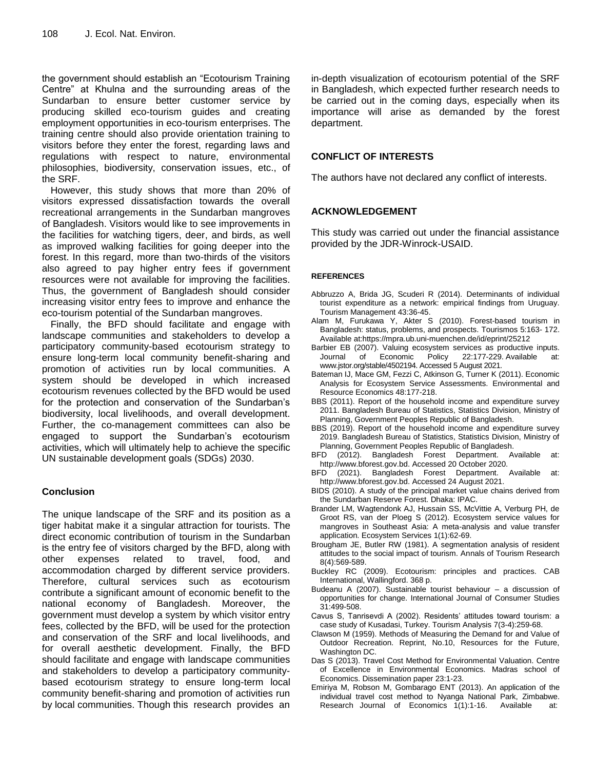the government should establish an "Ecotourism Training Centre" at Khulna and the surrounding areas of the Sundarban to ensure better customer service by producing skilled eco-tourism guides and creating employment opportunities in eco-tourism enterprises. The training centre should also provide orientation training to visitors before they enter the forest, regarding laws and regulations with respect to nature, environmental philosophies, biodiversity, conservation issues, etc., of the SRF.

However, this study shows that more than 20% of visitors expressed dissatisfaction towards the overall recreational arrangements in the Sundarban mangroves of Bangladesh. Visitors would like to see improvements in the facilities for watching tigers, deer, and birds, as well as improved walking facilities for going deeper into the forest. In this regard, more than two-thirds of the visitors also agreed to pay higher entry fees if government resources were not available for improving the facilities. Thus, the government of Bangladesh should consider increasing visitor entry fees to improve and enhance the eco-tourism potential of the Sundarban mangroves.

Finally, the BFD should facilitate and engage with landscape communities and stakeholders to develop a participatory community-based ecotourism strategy to ensure long-term local community benefit-sharing and promotion of activities run by local communities. A system should be developed in which increased ecotourism revenues collected by the BFD would be used for the protection and conservation of the Sundarban"s biodiversity, local livelihoods, and overall development. Further, the co-management committees can also be engaged to support the Sundarban"s ecotourism activities, which will ultimately help to achieve the specific UN sustainable development goals (SDGs) 2030.

# **Conclusion**

The unique landscape of the SRF and its position as a tiger habitat make it a singular attraction for tourists. The direct economic contribution of tourism in the Sundarban is the entry fee of visitors charged by the BFD, along with other expenses related to travel, food, and accommodation charged by different service providers. Therefore, cultural services such as ecotourism contribute a significant amount of economic benefit to the national economy of Bangladesh. Moreover, the government must develop a system by which visitor entry fees, collected by the BFD, will be used for the protection and conservation of the SRF and local livelihoods, and for overall aesthetic development. Finally, the BFD should facilitate and engage with landscape communities and stakeholders to develop a participatory communitybased ecotourism strategy to ensure long-term local community benefit-sharing and promotion of activities run by local communities. Though this research provides an

in-depth visualization of ecotourism potential of the SRF in Bangladesh, which expected further research needs to be carried out in the coming days, especially when its importance will arise as demanded by the forest department.

# **CONFLICT OF INTERESTS**

The authors have not declared any conflict of interests.

# **ACKNOWLEDGEMENT**

This study was carried out under the financial assistance provided by the JDR-Winrock-USAID.

## **REFERENCES**

- Abbruzzo A, Brida JG, Scuderi R (2014). Determinants of individual tourist expenditure as a network: empirical findings from Uruguay. Tourism Management 43:36-45.
- Alam M, Furukawa Y, Akter S (2010). Forest-based tourism in Bangladesh: status, problems, and prospects. Tourismos 5:163- 172. Available at[:https://mpra.ub.uni-muenchen.de/id/eprint/25212](https://mpra.ub.uni-muenchen.de/id/eprint/25212)
- Barbier EB (2007). Valuing ecosystem services as productive inputs. Journal of Economic Policy 22:177-229. Available at: www.jstor.org/stable/4502194. Accessed 5 August 2021.
- Bateman IJ, Mace GM, Fezzi C, Atkinson G, Turner K (2011). Economic Analysis for Ecosystem Service Assessments. Environmental and Resource Economics 48:177-218.
- BBS (2011). Report of the household income and expenditure survey 2011. Bangladesh Bureau of Statistics, Statistics Division, Ministry of Planning, Government Peoples Republic of Bangladesh.
- BBS (2019). Report of the household income and expenditure survey 2019. Bangladesh Bureau of Statistics, Statistics Division, Ministry of Planning, Government Peoples Republic of Bangladesh.
- BFD (2012). Bangladesh Forest Department. Available at: [http://www.bforest.gov.bd.](http://www.bforest.gov.bd/) Accessed 20 October 2020.
- BFD (2021). Bangladesh Forest Department. Available at: [http://www.bforest.gov.bd.](http://www.bforest.gov.bd/) Accessed 24 August 2021.
- BIDS (2010). A study of the principal market value chains derived from the Sundarban Reserve Forest. Dhaka: IPAC.
- Brander LM, Wagtendonk AJ, Hussain SS, McVittie A, Verburg PH, de Groot RS, van der Ploeg S (2012). Ecosystem service values for mangroves in Southeast Asia: A meta-analysis and value transfer application. Ecosystem Services 1(1):62-69.
- Brougham JE, Butler RW (1981). A segmentation analysis of resident attitudes to the social impact of tourism. Annals of Tourism Research 8(4):569-589.
- Buckley RC (2009). Ecotourism: principles and practices. CAB International, Wallingford. 368 p.
- Budeanu A (2007). Sustainable tourist behaviour a discussion of opportunities for change. International Journal of Consumer Studies 31:499-508.
- Cavus S, Tanrisevdi A (2002). Residents' attitudes toward tourism: a case study of Kusadasi, Turkey. Tourism Analysis 7(3-4):259-68.
- Clawson M (1959). Methods of Measuring the Demand for and Value of Outdoor Recreation. Reprint, No.10, Resources for the Future, Washington DC.
- Das S (2013). Travel Cost Method for Environmental Valuation. Centre of Excellence in Environmental Economics. Madras school of Economics. Dissemination paper 23:1-23.
- Emiriya M, Robson M, Gombarago ENT (2013). An application of the individual travel cost method to Nyanga National Park, Zimbabwe. Research Journal of Economics 1(1):1-16. Available at: